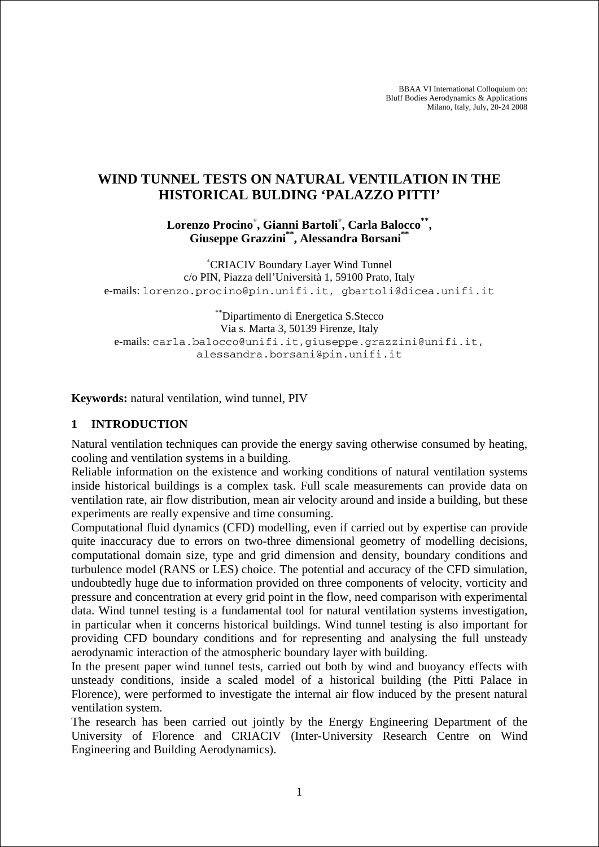BBAA VI International Colloquium on: Bluff Bodies Aerodynamics & Applications Milano, Italy, July, 20-24 2008

# **WIND TUNNEL TESTS ON NATURAL VENTILATION IN THE HISTORICAL BULDING 'PALAZZO PITTI'**

**Lorenzo Procino**<sup>∗</sup> **, Gianni Bartoli**<sup>∗</sup> **, Carla Balocco\*\*, Giuseppe Grazzini\*\*, Alessandra Borsani\*\***

∗ CRIACIV Boundary Layer Wind Tunnel c/o PIN, Piazza dell'Università 1, 59100 Prato, Italy e-mails: lorenzo.procino@pin.unifi.it, gbartoli@dicea.unifi.it

\*\*Dipartimento di Energetica S.Stecco Via s. Marta 3, 50139 Firenze, Italy e-mails: carla.balocco@unifi.it,giuseppe.grazzini@unifi.it, alessandra.borsani@pin.unifi.it

**Keywords:** natural ventilation, wind tunnel, PIV

#### **1 INTRODUCTION**

Natural ventilation techniques can provide the energy saving otherwise consumed by heating, cooling and ventilation systems in a building.

Reliable information on the existence and working conditions of natural ventilation systems inside historical buildings is a complex task. Full scale measurements can provide data on ventilation rate, air flow distribution, mean air velocity around and inside a building, but these experiments are really expensive and time consuming.

Computational fluid dynamics (CFD) modelling, even if carried out by expertise can provide quite inaccuracy due to errors on two-three dimensional geometry of modelling decisions, computational domain size, type and grid dimension and density, boundary conditions and turbulence model (RANS or LES) choice. The potential and accuracy of the CFD simulation, undoubtedly huge due to information provided on three components of velocity, vorticity and pressure and concentration at every grid point in the flow, need comparison with experimental data. Wind tunnel testing is a fundamental tool for natural ventilation systems investigation, in particular when it concerns historical buildings. Wind tunnel testing is also important for providing CFD boundary conditions and for representing and analysing the full unsteady aerodynamic interaction of the atmospheric boundary layer with building.

In the present paper wind tunnel tests, carried out both by wind and buoyancy effects with unsteady conditions, inside a scaled model of a historical building (the Pitti Palace in Florence), were performed to investigate the internal air flow induced by the present natural ventilation system.

The research has been carried out jointly by the Energy Engineering Department of the University of Florence and CRIACIV (Inter-University Research Centre on Wind Engineering and Building Aerodynamics).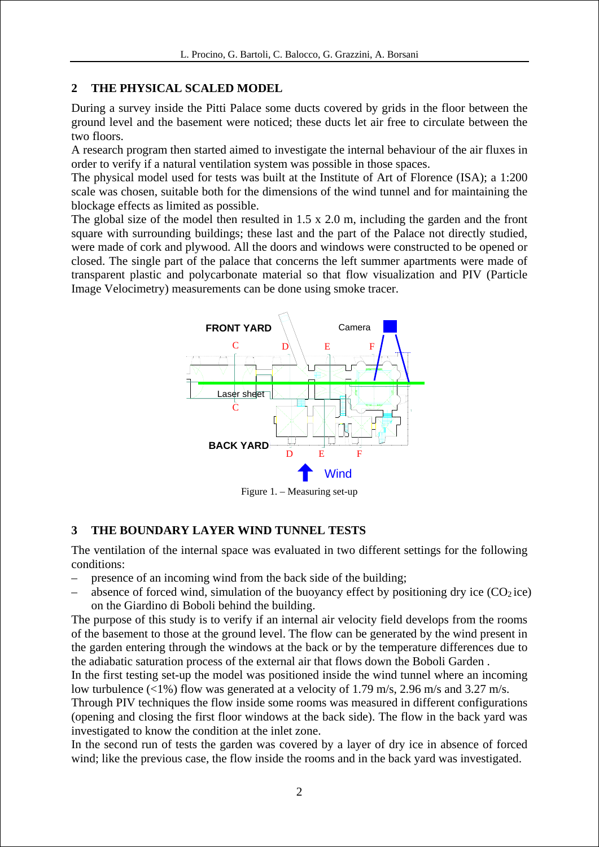## **2 THE PHYSICAL SCALED MODEL**

During a survey inside the Pitti Palace some ducts covered by grids in the floor between the ground level and the basement were noticed; these ducts let air free to circulate between the two floors.

A research program then started aimed to investigate the internal behaviour of the air fluxes in order to verify if a natural ventilation system was possible in those spaces.

The physical model used for tests was built at the Institute of Art of Florence (ISA); a 1:200 scale was chosen, suitable both for the dimensions of the wind tunnel and for maintaining the blockage effects as limited as possible.

The global size of the model then resulted in  $1.5 \times 2.0 \text{ m}$ , including the garden and the front square with surrounding buildings; these last and the part of the Palace not directly studied, were made of cork and plywood. All the doors and windows were constructed to be opened or closed. The single part of the palace that concerns the left summer apartments were made of transparent plastic and polycarbonate material so that flow visualization and PIV (Particle Image Velocimetry) measurements can be done using smoke tracer.



Figure 1. – Measuring set-up

# **3 THE BOUNDARY LAYER WIND TUNNEL TESTS**

The ventilation of the internal space was evaluated in two different settings for the following conditions:

- presence of an incoming wind from the back side of the building;
- absence of forced wind, simulation of the buoyancy effect by positioning dry ice  $(CO<sub>2</sub>)$ ice) on the Giardino di Boboli behind the building.

The purpose of this study is to verify if an internal air velocity field develops from the rooms of the basement to those at the ground level. The flow can be generated by the wind present in the garden entering through the windows at the back or by the temperature differences due to the adiabatic saturation process of the external air that flows down the Boboli Garden .

In the first testing set-up the model was positioned inside the wind tunnel where an incoming low turbulence (<1%) flow was generated at a velocity of 1.79 m/s, 2.96 m/s and 3.27 m/s.

Through PIV techniques the flow inside some rooms was measured in different configurations (opening and closing the first floor windows at the back side). The flow in the back yard was investigated to know the condition at the inlet zone.

In the second run of tests the garden was covered by a layer of dry ice in absence of forced wind; like the previous case, the flow inside the rooms and in the back yard was investigated.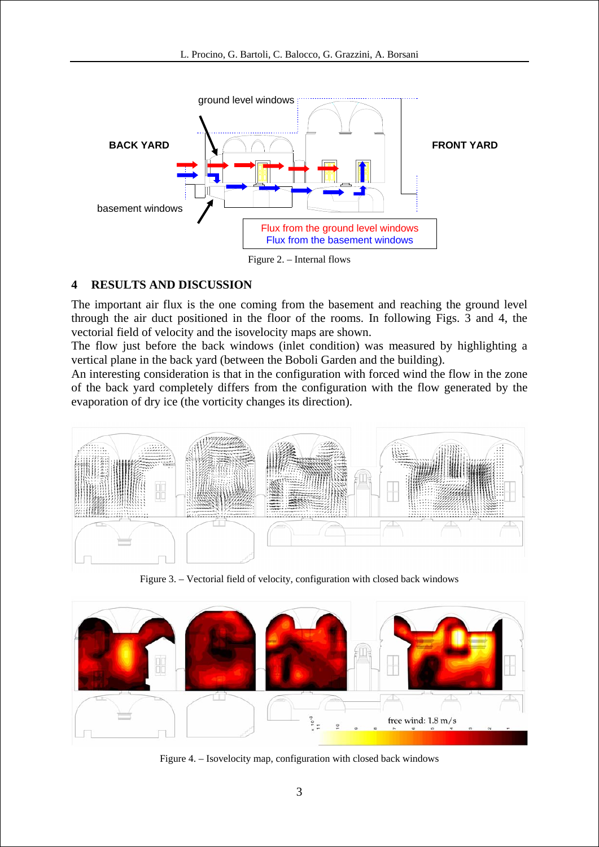

## **4 RESULTS AND DISCUSSION**

The important air flux is the one coming from the basement and reaching the ground level through the air duct positioned in the floor of the rooms. In following Figs. 3 and 4, the vectorial field of velocity and the isovelocity maps are shown.

The flow just before the back windows (inlet condition) was measured by highlighting a vertical plane in the back yard (between the Boboli Garden and the building).

An interesting consideration is that in the configuration with forced wind the flow in the zone of the back yard completely differs from the configuration with the flow generated by the evaporation of dry ice (the vorticity changes its direction).



Figure 3. – Vectorial field of velocity, configuration with closed back windows



Figure 4. – Isovelocity map, configuration with closed back windows